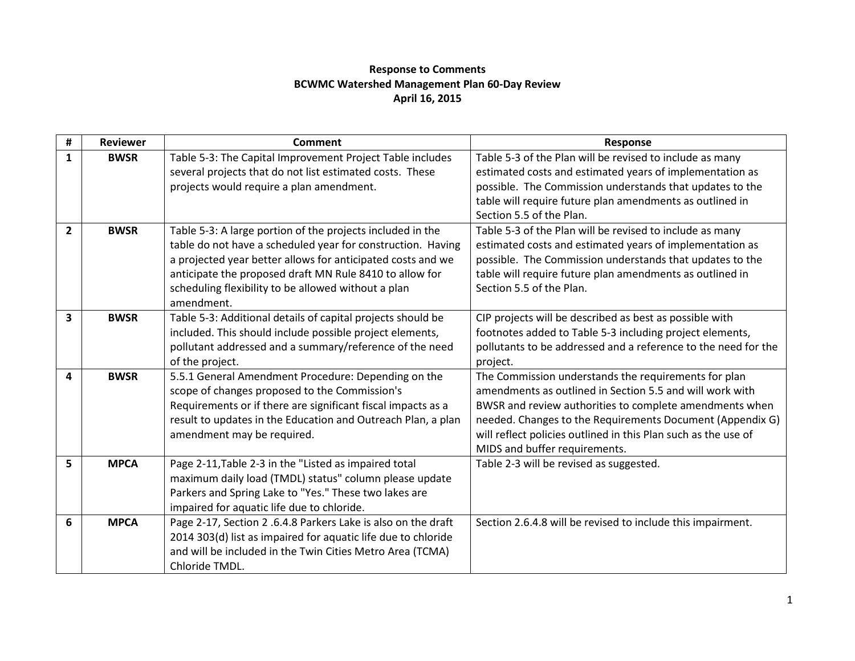## **Response to Comments BCWMC Watershed Management Plan 60-Day Review April 16, 2015**

| #              | <b>Reviewer</b> | <b>Comment</b>                                                | Response                                                       |
|----------------|-----------------|---------------------------------------------------------------|----------------------------------------------------------------|
| 1              | <b>BWSR</b>     | Table 5-3: The Capital Improvement Project Table includes     | Table 5-3 of the Plan will be revised to include as many       |
|                |                 | several projects that do not list estimated costs. These      | estimated costs and estimated years of implementation as       |
|                |                 | projects would require a plan amendment.                      | possible. The Commission understands that updates to the       |
|                |                 |                                                               | table will require future plan amendments as outlined in       |
|                |                 |                                                               | Section 5.5 of the Plan.                                       |
| $\overline{2}$ | <b>BWSR</b>     | Table 5-3: A large portion of the projects included in the    | Table 5-3 of the Plan will be revised to include as many       |
|                |                 | table do not have a scheduled year for construction. Having   | estimated costs and estimated years of implementation as       |
|                |                 | a projected year better allows for anticipated costs and we   | possible. The Commission understands that updates to the       |
|                |                 | anticipate the proposed draft MN Rule 8410 to allow for       | table will require future plan amendments as outlined in       |
|                |                 | scheduling flexibility to be allowed without a plan           | Section 5.5 of the Plan.                                       |
|                |                 | amendment.                                                    |                                                                |
| 3              | <b>BWSR</b>     | Table 5-3: Additional details of capital projects should be   | CIP projects will be described as best as possible with        |
|                |                 | included. This should include possible project elements,      | footnotes added to Table 5-3 including project elements,       |
|                |                 | pollutant addressed and a summary/reference of the need       | pollutants to be addressed and a reference to the need for the |
|                |                 | of the project.                                               | project.                                                       |
| 4              | <b>BWSR</b>     | 5.5.1 General Amendment Procedure: Depending on the           | The Commission understands the requirements for plan           |
|                |                 | scope of changes proposed to the Commission's                 | amendments as outlined in Section 5.5 and will work with       |
|                |                 | Requirements or if there are significant fiscal impacts as a  | BWSR and review authorities to complete amendments when        |
|                |                 | result to updates in the Education and Outreach Plan, a plan  | needed. Changes to the Requirements Document (Appendix G)      |
|                |                 | amendment may be required.                                    | will reflect policies outlined in this Plan such as the use of |
|                |                 |                                                               | MIDS and buffer requirements.                                  |
| 5              | <b>MPCA</b>     | Page 2-11, Table 2-3 in the "Listed as impaired total         | Table 2-3 will be revised as suggested.                        |
|                |                 | maximum daily load (TMDL) status" column please update        |                                                                |
|                |                 | Parkers and Spring Lake to "Yes." These two lakes are         |                                                                |
|                |                 | impaired for aquatic life due to chloride.                    |                                                                |
| 6              | <b>MPCA</b>     | Page 2-17, Section 2 .6.4.8 Parkers Lake is also on the draft | Section 2.6.4.8 will be revised to include this impairment.    |
|                |                 | 2014 303(d) list as impaired for aquatic life due to chloride |                                                                |
|                |                 | and will be included in the Twin Cities Metro Area (TCMA)     |                                                                |
|                |                 | Chloride TMDL.                                                |                                                                |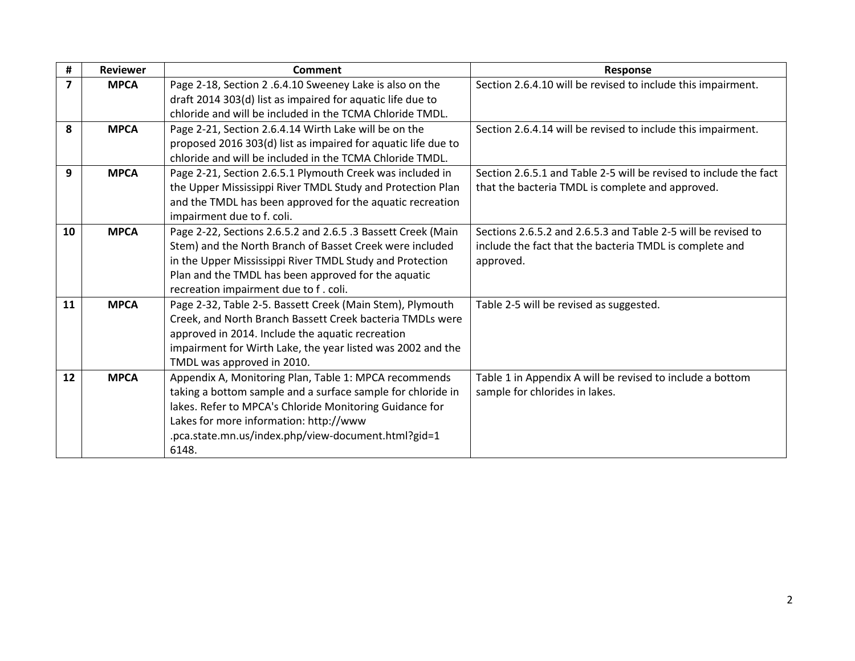| Section 2.6.4.10 will be revised to include this impairment.      |
|-------------------------------------------------------------------|
|                                                                   |
|                                                                   |
| Section 2.6.4.14 will be revised to include this impairment.      |
|                                                                   |
|                                                                   |
| Section 2.6.5.1 and Table 2-5 will be revised to include the fact |
| that the bacteria TMDL is complete and approved.                  |
|                                                                   |
|                                                                   |
| Sections 2.6.5.2 and 2.6.5.3 and Table 2-5 will be revised to     |
| include the fact that the bacteria TMDL is complete and           |
|                                                                   |
|                                                                   |
|                                                                   |
|                                                                   |
|                                                                   |
|                                                                   |
|                                                                   |
|                                                                   |
| Table 1 in Appendix A will be revised to include a bottom         |
|                                                                   |
|                                                                   |
|                                                                   |
|                                                                   |
| Table 2-5 will be revised as suggested.                           |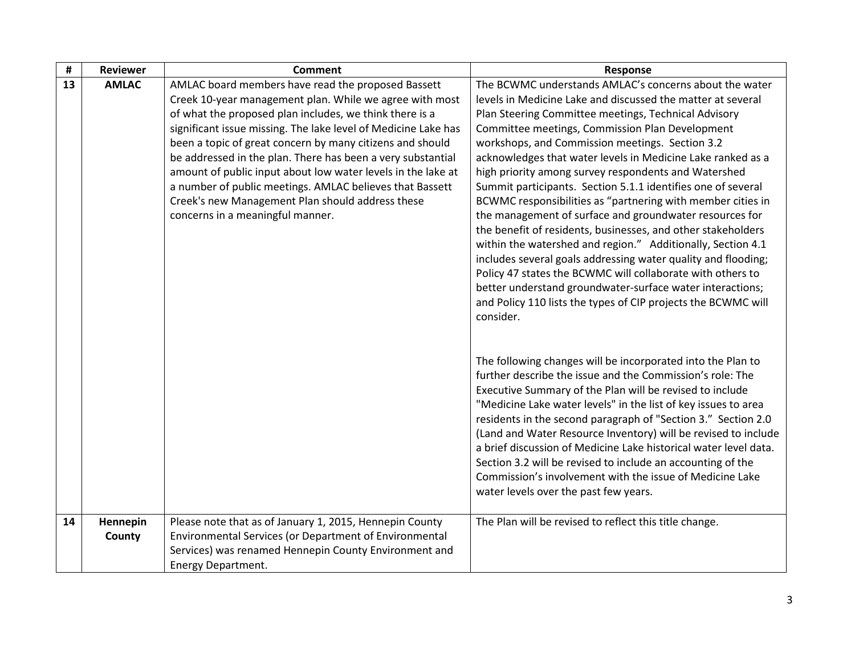| #  | <b>Reviewer</b> | <b>Comment</b>                                                                                                | Response                                                                                                              |
|----|-----------------|---------------------------------------------------------------------------------------------------------------|-----------------------------------------------------------------------------------------------------------------------|
| 13 | <b>AMLAC</b>    | AMLAC board members have read the proposed Bassett<br>Creek 10-year management plan. While we agree with most | The BCWMC understands AMLAC's concerns about the water<br>levels in Medicine Lake and discussed the matter at several |
|    |                 | of what the proposed plan includes, we think there is a                                                       | Plan Steering Committee meetings, Technical Advisory                                                                  |
|    |                 | significant issue missing. The lake level of Medicine Lake has                                                | Committee meetings, Commission Plan Development                                                                       |
|    |                 | been a topic of great concern by many citizens and should                                                     | workshops, and Commission meetings. Section 3.2                                                                       |
|    |                 | be addressed in the plan. There has been a very substantial                                                   | acknowledges that water levels in Medicine Lake ranked as a                                                           |
|    |                 | amount of public input about low water levels in the lake at                                                  | high priority among survey respondents and Watershed                                                                  |
|    |                 | a number of public meetings. AMLAC believes that Bassett                                                      | Summit participants. Section 5.1.1 identifies one of several                                                          |
|    |                 | Creek's new Management Plan should address these                                                              | BCWMC responsibilities as "partnering with member cities in                                                           |
|    |                 | concerns in a meaningful manner.                                                                              | the management of surface and groundwater resources for                                                               |
|    |                 |                                                                                                               | the benefit of residents, businesses, and other stakeholders                                                          |
|    |                 |                                                                                                               | within the watershed and region." Additionally, Section 4.1                                                           |
|    |                 |                                                                                                               | includes several goals addressing water quality and flooding;                                                         |
|    |                 |                                                                                                               | Policy 47 states the BCWMC will collaborate with others to                                                            |
|    |                 |                                                                                                               | better understand groundwater-surface water interactions;                                                             |
|    |                 |                                                                                                               | and Policy 110 lists the types of CIP projects the BCWMC will                                                         |
|    |                 |                                                                                                               | consider.                                                                                                             |
|    |                 |                                                                                                               |                                                                                                                       |
|    |                 |                                                                                                               | The following changes will be incorporated into the Plan to                                                           |
|    |                 |                                                                                                               | further describe the issue and the Commission's role: The                                                             |
|    |                 |                                                                                                               | Executive Summary of the Plan will be revised to include                                                              |
|    |                 |                                                                                                               | "Medicine Lake water levels" in the list of key issues to area                                                        |
|    |                 |                                                                                                               | residents in the second paragraph of "Section 3." Section 2.0                                                         |
|    |                 |                                                                                                               | (Land and Water Resource Inventory) will be revised to include                                                        |
|    |                 |                                                                                                               | a brief discussion of Medicine Lake historical water level data.                                                      |
|    |                 |                                                                                                               | Section 3.2 will be revised to include an accounting of the                                                           |
|    |                 |                                                                                                               | Commission's involvement with the issue of Medicine Lake                                                              |
|    |                 |                                                                                                               | water levels over the past few years.                                                                                 |
|    |                 |                                                                                                               |                                                                                                                       |
| 14 | Hennepin        | Please note that as of January 1, 2015, Hennepin County                                                       | The Plan will be revised to reflect this title change.                                                                |
|    | County          | Environmental Services (or Department of Environmental                                                        |                                                                                                                       |
|    |                 | Services) was renamed Hennepin County Environment and                                                         |                                                                                                                       |
|    |                 | Energy Department.                                                                                            |                                                                                                                       |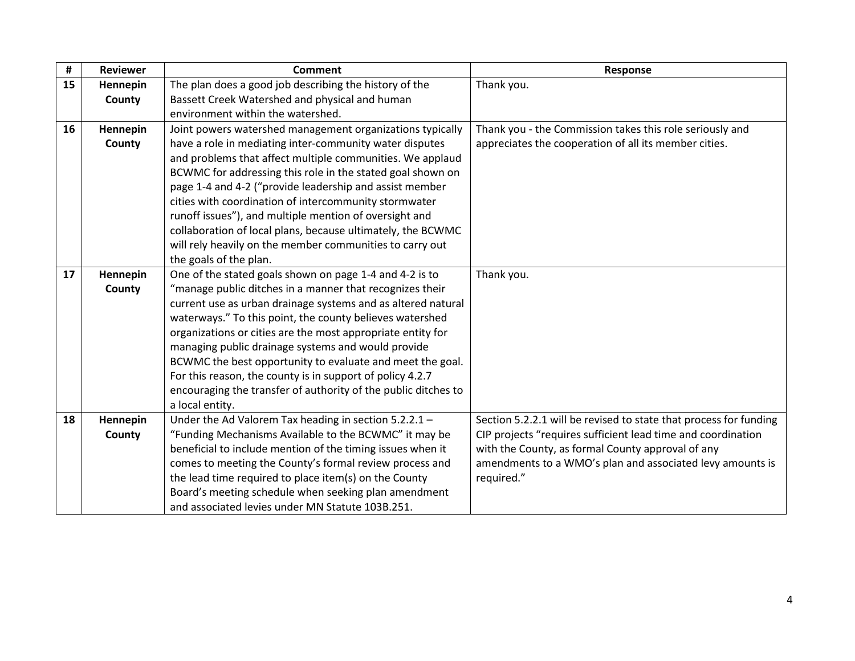| #  | <b>Reviewer</b> | Comment                                                        | Response                                                          |
|----|-----------------|----------------------------------------------------------------|-------------------------------------------------------------------|
| 15 | Hennepin        | The plan does a good job describing the history of the         | Thank you.                                                        |
|    | County          | Bassett Creek Watershed and physical and human                 |                                                                   |
|    |                 | environment within the watershed.                              |                                                                   |
| 16 | Hennepin        | Joint powers watershed management organizations typically      | Thank you - the Commission takes this role seriously and          |
|    | County          | have a role in mediating inter-community water disputes        | appreciates the cooperation of all its member cities.             |
|    |                 | and problems that affect multiple communities. We applaud      |                                                                   |
|    |                 | BCWMC for addressing this role in the stated goal shown on     |                                                                   |
|    |                 | page 1-4 and 4-2 ("provide leadership and assist member        |                                                                   |
|    |                 | cities with coordination of intercommunity stormwater          |                                                                   |
|    |                 | runoff issues"), and multiple mention of oversight and         |                                                                   |
|    |                 | collaboration of local plans, because ultimately, the BCWMC    |                                                                   |
|    |                 | will rely heavily on the member communities to carry out       |                                                                   |
|    |                 | the goals of the plan.                                         |                                                                   |
| 17 | Hennepin        | One of the stated goals shown on page 1-4 and 4-2 is to        | Thank you.                                                        |
|    | County          | "manage public ditches in a manner that recognizes their       |                                                                   |
|    |                 | current use as urban drainage systems and as altered natural   |                                                                   |
|    |                 | waterways." To this point, the county believes watershed       |                                                                   |
|    |                 | organizations or cities are the most appropriate entity for    |                                                                   |
|    |                 | managing public drainage systems and would provide             |                                                                   |
|    |                 | BCWMC the best opportunity to evaluate and meet the goal.      |                                                                   |
|    |                 | For this reason, the county is in support of policy 4.2.7      |                                                                   |
|    |                 | encouraging the transfer of authority of the public ditches to |                                                                   |
|    |                 | a local entity.                                                |                                                                   |
| 18 | Hennepin        | Under the Ad Valorem Tax heading in section 5.2.2.1 -          | Section 5.2.2.1 will be revised to state that process for funding |
|    | County          | "Funding Mechanisms Available to the BCWMC" it may be          | CIP projects "requires sufficient lead time and coordination      |
|    |                 | beneficial to include mention of the timing issues when it     | with the County, as formal County approval of any                 |
|    |                 | comes to meeting the County's formal review process and        | amendments to a WMO's plan and associated levy amounts is         |
|    |                 | the lead time required to place item(s) on the County          | required."                                                        |
|    |                 | Board's meeting schedule when seeking plan amendment           |                                                                   |
|    |                 | and associated levies under MN Statute 103B.251.               |                                                                   |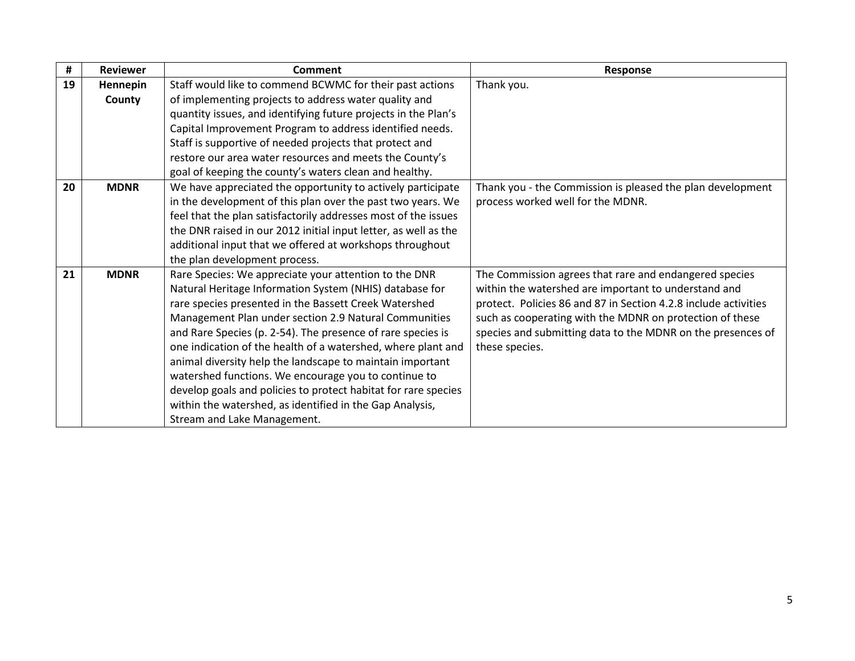| #  | <b>Reviewer</b> | Comment                                                         | <b>Response</b>                                                 |
|----|-----------------|-----------------------------------------------------------------|-----------------------------------------------------------------|
| 19 | Hennepin        | Staff would like to commend BCWMC for their past actions        | Thank you.                                                      |
|    | County          | of implementing projects to address water quality and           |                                                                 |
|    |                 | quantity issues, and identifying future projects in the Plan's  |                                                                 |
|    |                 | Capital Improvement Program to address identified needs.        |                                                                 |
|    |                 | Staff is supportive of needed projects that protect and         |                                                                 |
|    |                 | restore our area water resources and meets the County's         |                                                                 |
|    |                 | goal of keeping the county's waters clean and healthy.          |                                                                 |
| 20 | <b>MDNR</b>     | We have appreciated the opportunity to actively participate     | Thank you - the Commission is pleased the plan development      |
|    |                 | in the development of this plan over the past two years. We     | process worked well for the MDNR.                               |
|    |                 | feel that the plan satisfactorily addresses most of the issues  |                                                                 |
|    |                 | the DNR raised in our 2012 initial input letter, as well as the |                                                                 |
|    |                 | additional input that we offered at workshops throughout        |                                                                 |
|    |                 | the plan development process.                                   |                                                                 |
| 21 | <b>MDNR</b>     | Rare Species: We appreciate your attention to the DNR           | The Commission agrees that rare and endangered species          |
|    |                 | Natural Heritage Information System (NHIS) database for         | within the watershed are important to understand and            |
|    |                 | rare species presented in the Bassett Creek Watershed           | protect. Policies 86 and 87 in Section 4.2.8 include activities |
|    |                 | Management Plan under section 2.9 Natural Communities           | such as cooperating with the MDNR on protection of these        |
|    |                 | and Rare Species (p. 2-54). The presence of rare species is     | species and submitting data to the MDNR on the presences of     |
|    |                 | one indication of the health of a watershed, where plant and    | these species.                                                  |
|    |                 | animal diversity help the landscape to maintain important       |                                                                 |
|    |                 | watershed functions. We encourage you to continue to            |                                                                 |
|    |                 | develop goals and policies to protect habitat for rare species  |                                                                 |
|    |                 | within the watershed, as identified in the Gap Analysis,        |                                                                 |
|    |                 | Stream and Lake Management.                                     |                                                                 |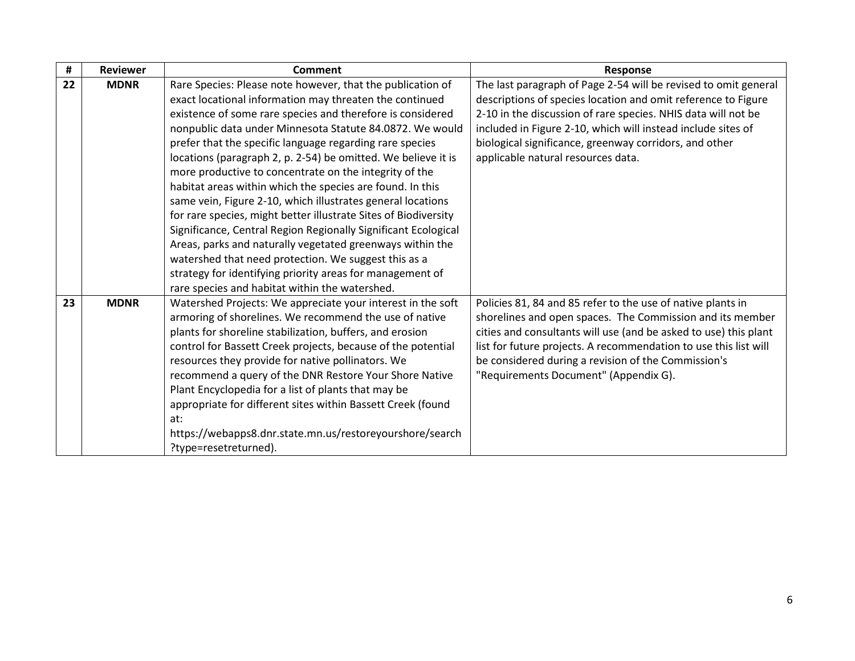| #  | <b>Reviewer</b> | Comment                                                         | Response                                                         |
|----|-----------------|-----------------------------------------------------------------|------------------------------------------------------------------|
| 22 | <b>MDNR</b>     | Rare Species: Please note however, that the publication of      | The last paragraph of Page 2-54 will be revised to omit general  |
|    |                 | exact locational information may threaten the continued         | descriptions of species location and omit reference to Figure    |
|    |                 | existence of some rare species and therefore is considered      | 2-10 in the discussion of rare species. NHIS data will not be    |
|    |                 | nonpublic data under Minnesota Statute 84.0872. We would        | included in Figure 2-10, which will instead include sites of     |
|    |                 | prefer that the specific language regarding rare species        | biological significance, greenway corridors, and other           |
|    |                 | locations (paragraph 2, p. 2-54) be omitted. We believe it is   | applicable natural resources data.                               |
|    |                 | more productive to concentrate on the integrity of the          |                                                                  |
|    |                 | habitat areas within which the species are found. In this       |                                                                  |
|    |                 | same vein, Figure 2-10, which illustrates general locations     |                                                                  |
|    |                 | for rare species, might better illustrate Sites of Biodiversity |                                                                  |
|    |                 | Significance, Central Region Regionally Significant Ecological  |                                                                  |
|    |                 | Areas, parks and naturally vegetated greenways within the       |                                                                  |
|    |                 | watershed that need protection. We suggest this as a            |                                                                  |
|    |                 | strategy for identifying priority areas for management of       |                                                                  |
|    |                 | rare species and habitat within the watershed.                  |                                                                  |
| 23 | <b>MDNR</b>     | Watershed Projects: We appreciate your interest in the soft     | Policies 81, 84 and 85 refer to the use of native plants in      |
|    |                 | armoring of shorelines. We recommend the use of native          | shorelines and open spaces. The Commission and its member        |
|    |                 | plants for shoreline stabilization, buffers, and erosion        | cities and consultants will use (and be asked to use) this plant |
|    |                 | control for Bassett Creek projects, because of the potential    | list for future projects. A recommendation to use this list will |
|    |                 | resources they provide for native pollinators. We               | be considered during a revision of the Commission's              |
|    |                 | recommend a query of the DNR Restore Your Shore Native          | "Requirements Document" (Appendix G).                            |
|    |                 | Plant Encyclopedia for a list of plants that may be             |                                                                  |
|    |                 | appropriate for different sites within Bassett Creek (found     |                                                                  |
|    |                 | at:                                                             |                                                                  |
|    |                 | https://webapps8.dnr.state.mn.us/restoreyourshore/search        |                                                                  |
|    |                 | ?type=resetreturned).                                           |                                                                  |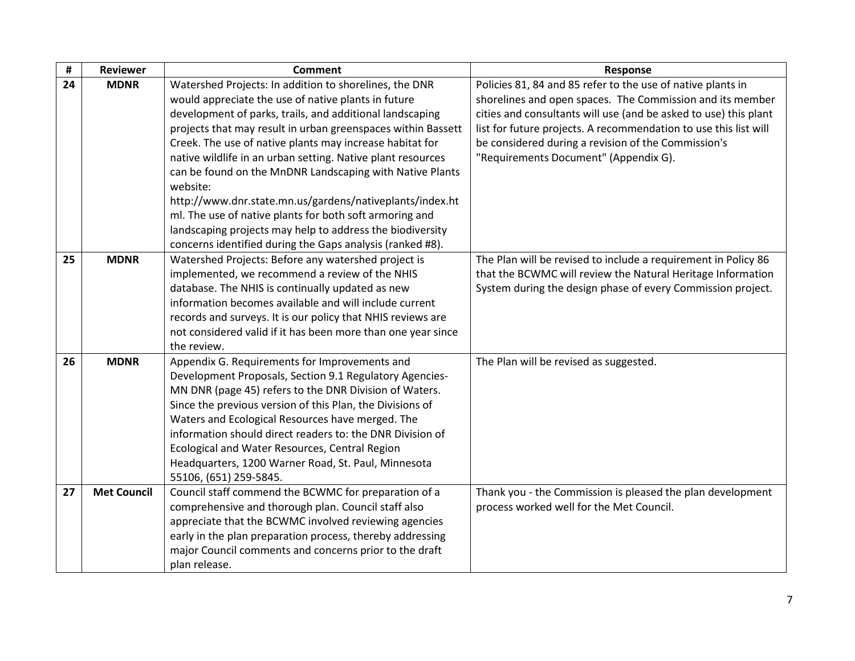| $\pmb{\sharp}$ | <b>Reviewer</b>    | <b>Comment</b>                                                                                                                                                                                                                                                                                               | Response                                                                                               |
|----------------|--------------------|--------------------------------------------------------------------------------------------------------------------------------------------------------------------------------------------------------------------------------------------------------------------------------------------------------------|--------------------------------------------------------------------------------------------------------|
| 24             | <b>MDNR</b>        | Watershed Projects: In addition to shorelines, the DNR                                                                                                                                                                                                                                                       | Policies 81, 84 and 85 refer to the use of native plants in                                            |
|                |                    | would appreciate the use of native plants in future                                                                                                                                                                                                                                                          | shorelines and open spaces. The Commission and its member                                              |
|                |                    | development of parks, trails, and additional landscaping                                                                                                                                                                                                                                                     | cities and consultants will use (and be asked to use) this plant                                       |
|                |                    | projects that may result in urban greenspaces within Bassett                                                                                                                                                                                                                                                 | list for future projects. A recommendation to use this list will                                       |
|                |                    | Creek. The use of native plants may increase habitat for                                                                                                                                                                                                                                                     | be considered during a revision of the Commission's                                                    |
|                |                    | native wildlife in an urban setting. Native plant resources                                                                                                                                                                                                                                                  | "Requirements Document" (Appendix G).                                                                  |
|                |                    | can be found on the MnDNR Landscaping with Native Plants<br>website:                                                                                                                                                                                                                                         |                                                                                                        |
|                |                    | http://www.dnr.state.mn.us/gardens/nativeplants/index.ht                                                                                                                                                                                                                                                     |                                                                                                        |
|                |                    | ml. The use of native plants for both soft armoring and                                                                                                                                                                                                                                                      |                                                                                                        |
|                |                    | landscaping projects may help to address the biodiversity                                                                                                                                                                                                                                                    |                                                                                                        |
|                |                    | concerns identified during the Gaps analysis (ranked #8).                                                                                                                                                                                                                                                    |                                                                                                        |
| 25             | <b>MDNR</b>        | Watershed Projects: Before any watershed project is                                                                                                                                                                                                                                                          | The Plan will be revised to include a requirement in Policy 86                                         |
|                |                    | implemented, we recommend a review of the NHIS                                                                                                                                                                                                                                                               | that the BCWMC will review the Natural Heritage Information                                            |
|                |                    | database. The NHIS is continually updated as new                                                                                                                                                                                                                                                             | System during the design phase of every Commission project.                                            |
|                |                    | information becomes available and will include current                                                                                                                                                                                                                                                       |                                                                                                        |
|                |                    | records and surveys. It is our policy that NHIS reviews are                                                                                                                                                                                                                                                  |                                                                                                        |
|                |                    | not considered valid if it has been more than one year since                                                                                                                                                                                                                                                 |                                                                                                        |
|                |                    | the review.                                                                                                                                                                                                                                                                                                  |                                                                                                        |
| 26             | <b>MDNR</b>        | Appendix G. Requirements for Improvements and                                                                                                                                                                                                                                                                | The Plan will be revised as suggested.                                                                 |
|                |                    | Development Proposals, Section 9.1 Regulatory Agencies-                                                                                                                                                                                                                                                      |                                                                                                        |
|                |                    | MN DNR (page 45) refers to the DNR Division of Waters.                                                                                                                                                                                                                                                       |                                                                                                        |
|                |                    | Since the previous version of this Plan, the Divisions of                                                                                                                                                                                                                                                    |                                                                                                        |
|                |                    | Waters and Ecological Resources have merged. The                                                                                                                                                                                                                                                             |                                                                                                        |
|                |                    | information should direct readers to: the DNR Division of                                                                                                                                                                                                                                                    |                                                                                                        |
|                |                    | Ecological and Water Resources, Central Region                                                                                                                                                                                                                                                               |                                                                                                        |
|                |                    | Headquarters, 1200 Warner Road, St. Paul, Minnesota                                                                                                                                                                                                                                                          |                                                                                                        |
|                |                    | 55106, (651) 259-5845.                                                                                                                                                                                                                                                                                       |                                                                                                        |
|                |                    |                                                                                                                                                                                                                                                                                                              |                                                                                                        |
|                |                    |                                                                                                                                                                                                                                                                                                              |                                                                                                        |
|                |                    |                                                                                                                                                                                                                                                                                                              |                                                                                                        |
|                |                    |                                                                                                                                                                                                                                                                                                              |                                                                                                        |
|                |                    |                                                                                                                                                                                                                                                                                                              |                                                                                                        |
| 27             | <b>Met Council</b> | Council staff commend the BCWMC for preparation of a<br>comprehensive and thorough plan. Council staff also<br>appreciate that the BCWMC involved reviewing agencies<br>early in the plan preparation process, thereby addressing<br>major Council comments and concerns prior to the draft<br>plan release. | Thank you - the Commission is pleased the plan development<br>process worked well for the Met Council. |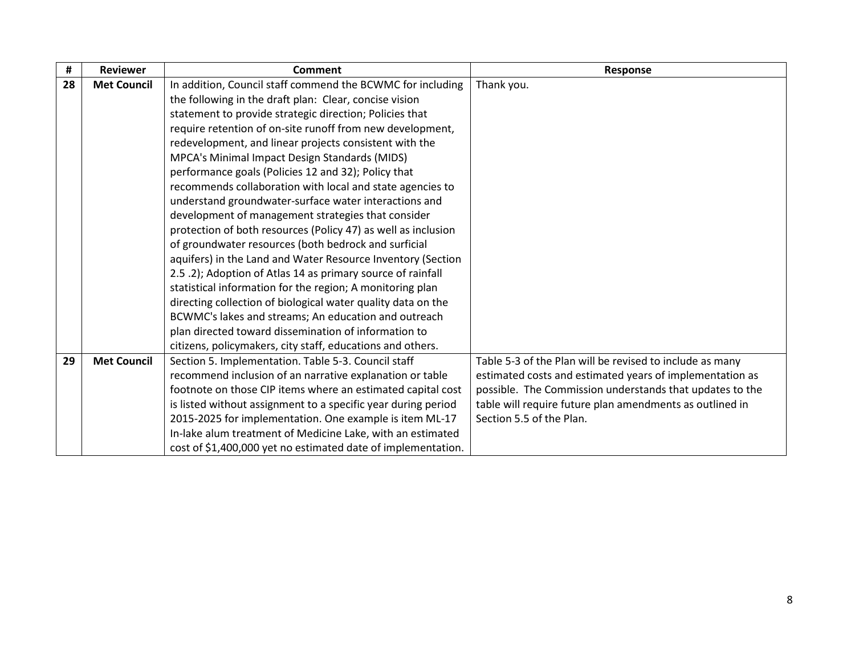| #  | <b>Reviewer</b>    | <b>Comment</b>                                                | Response                                                 |
|----|--------------------|---------------------------------------------------------------|----------------------------------------------------------|
| 28 | <b>Met Council</b> | In addition, Council staff commend the BCWMC for including    | Thank you.                                               |
|    |                    | the following in the draft plan: Clear, concise vision        |                                                          |
|    |                    | statement to provide strategic direction; Policies that       |                                                          |
|    |                    | require retention of on-site runoff from new development,     |                                                          |
|    |                    | redevelopment, and linear projects consistent with the        |                                                          |
|    |                    | MPCA's Minimal Impact Design Standards (MIDS)                 |                                                          |
|    |                    | performance goals (Policies 12 and 32); Policy that           |                                                          |
|    |                    | recommends collaboration with local and state agencies to     |                                                          |
|    |                    | understand groundwater-surface water interactions and         |                                                          |
|    |                    | development of management strategies that consider            |                                                          |
|    |                    | protection of both resources (Policy 47) as well as inclusion |                                                          |
|    |                    | of groundwater resources (both bedrock and surficial          |                                                          |
|    |                    | aquifers) in the Land and Water Resource Inventory (Section   |                                                          |
|    |                    | 2.5 .2); Adoption of Atlas 14 as primary source of rainfall   |                                                          |
|    |                    | statistical information for the region; A monitoring plan     |                                                          |
|    |                    | directing collection of biological water quality data on the  |                                                          |
|    |                    | BCWMC's lakes and streams; An education and outreach          |                                                          |
|    |                    | plan directed toward dissemination of information to          |                                                          |
|    |                    | citizens, policymakers, city staff, educations and others.    |                                                          |
| 29 | <b>Met Council</b> | Section 5. Implementation. Table 5-3. Council staff           | Table 5-3 of the Plan will be revised to include as many |
|    |                    | recommend inclusion of an narrative explanation or table      | estimated costs and estimated years of implementation as |
|    |                    | footnote on those CIP items where an estimated capital cost   | possible. The Commission understands that updates to the |
|    |                    | is listed without assignment to a specific year during period | table will require future plan amendments as outlined in |
|    |                    | 2015-2025 for implementation. One example is item ML-17       | Section 5.5 of the Plan.                                 |
|    |                    | In-lake alum treatment of Medicine Lake, with an estimated    |                                                          |
|    |                    | cost of \$1,400,000 yet no estimated date of implementation.  |                                                          |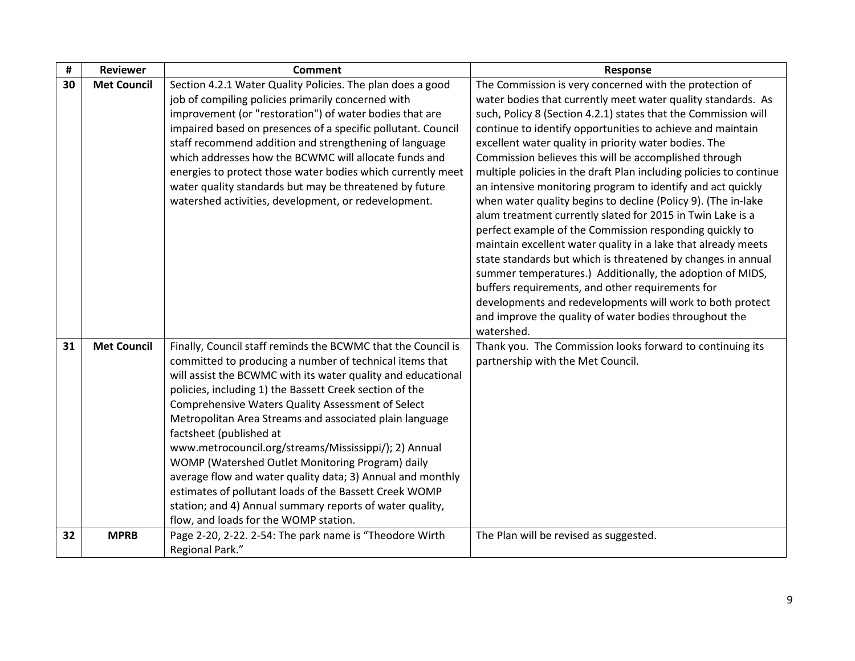| #  | <b>Reviewer</b>    | <b>Comment</b>                                                                                                                                                                                                                                                                                                                                                                                                                                                                                                                                                                                                                                                                                                                          | <b>Response</b>                                                                                                                                                                                                                                                                                                                                                                                                                                                                                                                                                                                                                                                                                                                                                                                                                                                                                                                                                                                                                                                                                 |
|----|--------------------|-----------------------------------------------------------------------------------------------------------------------------------------------------------------------------------------------------------------------------------------------------------------------------------------------------------------------------------------------------------------------------------------------------------------------------------------------------------------------------------------------------------------------------------------------------------------------------------------------------------------------------------------------------------------------------------------------------------------------------------------|-------------------------------------------------------------------------------------------------------------------------------------------------------------------------------------------------------------------------------------------------------------------------------------------------------------------------------------------------------------------------------------------------------------------------------------------------------------------------------------------------------------------------------------------------------------------------------------------------------------------------------------------------------------------------------------------------------------------------------------------------------------------------------------------------------------------------------------------------------------------------------------------------------------------------------------------------------------------------------------------------------------------------------------------------------------------------------------------------|
| 30 | <b>Met Council</b> | Section 4.2.1 Water Quality Policies. The plan does a good<br>job of compiling policies primarily concerned with<br>improvement (or "restoration") of water bodies that are<br>impaired based on presences of a specific pollutant. Council<br>staff recommend addition and strengthening of language<br>which addresses how the BCWMC will allocate funds and<br>energies to protect those water bodies which currently meet<br>water quality standards but may be threatened by future<br>watershed activities, development, or redevelopment.                                                                                                                                                                                        | The Commission is very concerned with the protection of<br>water bodies that currently meet water quality standards. As<br>such, Policy 8 (Section 4.2.1) states that the Commission will<br>continue to identify opportunities to achieve and maintain<br>excellent water quality in priority water bodies. The<br>Commission believes this will be accomplished through<br>multiple policies in the draft Plan including policies to continue<br>an intensive monitoring program to identify and act quickly<br>when water quality begins to decline (Policy 9). (The in-lake<br>alum treatment currently slated for 2015 in Twin Lake is a<br>perfect example of the Commission responding quickly to<br>maintain excellent water quality in a lake that already meets<br>state standards but which is threatened by changes in annual<br>summer temperatures.) Additionally, the adoption of MIDS,<br>buffers requirements, and other requirements for<br>developments and redevelopments will work to both protect<br>and improve the quality of water bodies throughout the<br>watershed. |
| 31 | <b>Met Council</b> | Finally, Council staff reminds the BCWMC that the Council is<br>committed to producing a number of technical items that<br>will assist the BCWMC with its water quality and educational<br>policies, including 1) the Bassett Creek section of the<br>Comprehensive Waters Quality Assessment of Select<br>Metropolitan Area Streams and associated plain language<br>factsheet (published at<br>www.metrocouncil.org/streams/Mississippi/); 2) Annual<br>WOMP (Watershed Outlet Monitoring Program) daily<br>average flow and water quality data; 3) Annual and monthly<br>estimates of pollutant loads of the Bassett Creek WOMP<br>station; and 4) Annual summary reports of water quality,<br>flow, and loads for the WOMP station. | Thank you. The Commission looks forward to continuing its<br>partnership with the Met Council.                                                                                                                                                                                                                                                                                                                                                                                                                                                                                                                                                                                                                                                                                                                                                                                                                                                                                                                                                                                                  |
| 32 | <b>MPRB</b>        | Page 2-20, 2-22. 2-54: The park name is "Theodore Wirth<br>Regional Park."                                                                                                                                                                                                                                                                                                                                                                                                                                                                                                                                                                                                                                                              | The Plan will be revised as suggested.                                                                                                                                                                                                                                                                                                                                                                                                                                                                                                                                                                                                                                                                                                                                                                                                                                                                                                                                                                                                                                                          |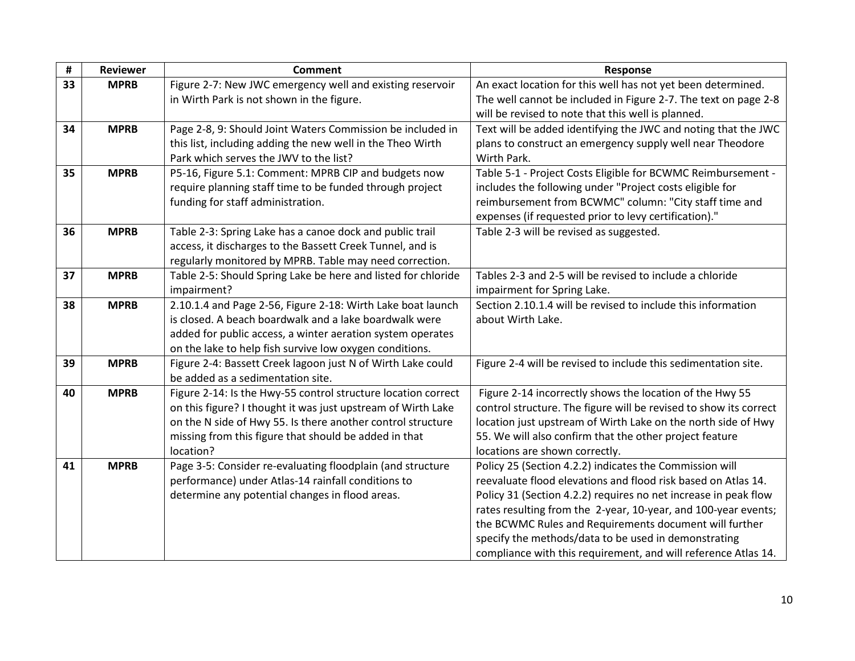| $\pmb{\sharp}$ | <b>Reviewer</b> | <b>Comment</b>                                                | Response                                                          |
|----------------|-----------------|---------------------------------------------------------------|-------------------------------------------------------------------|
| 33             | <b>MPRB</b>     | Figure 2-7: New JWC emergency well and existing reservoir     | An exact location for this well has not yet been determined.      |
|                |                 | in Wirth Park is not shown in the figure.                     | The well cannot be included in Figure 2-7. The text on page 2-8   |
|                |                 |                                                               | will be revised to note that this well is planned.                |
| 34             | <b>MPRB</b>     | Page 2-8, 9: Should Joint Waters Commission be included in    | Text will be added identifying the JWC and noting that the JWC    |
|                |                 | this list, including adding the new well in the Theo Wirth    | plans to construct an emergency supply well near Theodore         |
|                |                 | Park which serves the JWV to the list?                        | Wirth Park.                                                       |
| 35             | <b>MPRB</b>     | P5-16, Figure 5.1: Comment: MPRB CIP and budgets now          | Table 5-1 - Project Costs Eligible for BCWMC Reimbursement -      |
|                |                 | require planning staff time to be funded through project      | includes the following under "Project costs eligible for          |
|                |                 | funding for staff administration.                             | reimbursement from BCWMC" column: "City staff time and            |
|                |                 |                                                               | expenses (if requested prior to levy certification)."             |
| 36             | <b>MPRB</b>     | Table 2-3: Spring Lake has a canoe dock and public trail      | Table 2-3 will be revised as suggested.                           |
|                |                 | access, it discharges to the Bassett Creek Tunnel, and is     |                                                                   |
|                |                 | regularly monitored by MPRB. Table may need correction.       |                                                                   |
| 37             | <b>MPRB</b>     | Table 2-5: Should Spring Lake be here and listed for chloride | Tables 2-3 and 2-5 will be revised to include a chloride          |
|                |                 | impairment?                                                   | impairment for Spring Lake.                                       |
| 38             | <b>MPRB</b>     | 2.10.1.4 and Page 2-56, Figure 2-18: Wirth Lake boat launch   | Section 2.10.1.4 will be revised to include this information      |
|                |                 | is closed. A beach boardwalk and a lake boardwalk were        | about Wirth Lake.                                                 |
|                |                 | added for public access, a winter aeration system operates    |                                                                   |
|                |                 | on the lake to help fish survive low oxygen conditions.       |                                                                   |
| 39             | <b>MPRB</b>     | Figure 2-4: Bassett Creek lagoon just N of Wirth Lake could   | Figure 2-4 will be revised to include this sedimentation site.    |
|                |                 | be added as a sedimentation site.                             |                                                                   |
| 40             | <b>MPRB</b>     | Figure 2-14: Is the Hwy-55 control structure location correct | Figure 2-14 incorrectly shows the location of the Hwy 55          |
|                |                 | on this figure? I thought it was just upstream of Wirth Lake  | control structure. The figure will be revised to show its correct |
|                |                 | on the N side of Hwy 55. Is there another control structure   | location just upstream of Wirth Lake on the north side of Hwy     |
|                |                 | missing from this figure that should be added in that         | 55. We will also confirm that the other project feature           |
|                |                 | location?                                                     | locations are shown correctly.                                    |
| 41             | <b>MPRB</b>     | Page 3-5: Consider re-evaluating floodplain (and structure    | Policy 25 (Section 4.2.2) indicates the Commission will           |
|                |                 | performance) under Atlas-14 rainfall conditions to            | reevaluate flood elevations and flood risk based on Atlas 14.     |
|                |                 | determine any potential changes in flood areas.               | Policy 31 (Section 4.2.2) requires no net increase in peak flow   |
|                |                 |                                                               | rates resulting from the 2-year, 10-year, and 100-year events;    |
|                |                 |                                                               | the BCWMC Rules and Requirements document will further            |
|                |                 |                                                               | specify the methods/data to be used in demonstrating              |
|                |                 |                                                               | compliance with this requirement, and will reference Atlas 14.    |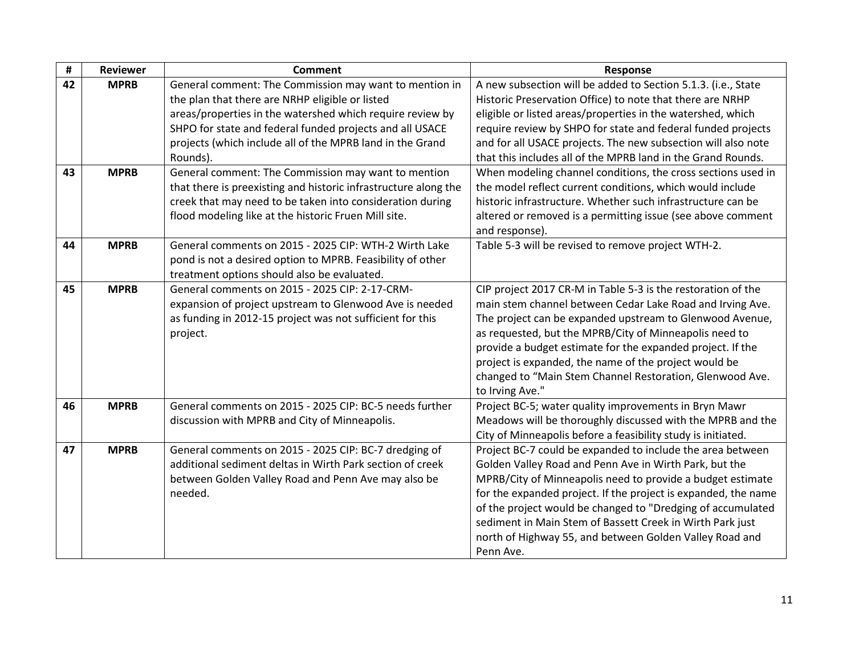| #  | <b>Reviewer</b> | <b>Comment</b>                                                  | Response                                                       |
|----|-----------------|-----------------------------------------------------------------|----------------------------------------------------------------|
| 42 | <b>MPRB</b>     | General comment: The Commission may want to mention in          | A new subsection will be added to Section 5.1.3. (i.e., State  |
|    |                 | the plan that there are NRHP eligible or listed                 | Historic Preservation Office) to note that there are NRHP      |
|    |                 | areas/properties in the watershed which require review by       | eligible or listed areas/properties in the watershed, which    |
|    |                 | SHPO for state and federal funded projects and all USACE        | require review by SHPO for state and federal funded projects   |
|    |                 | projects (which include all of the MPRB land in the Grand       | and for all USACE projects. The new subsection will also note  |
|    |                 | Rounds).                                                        | that this includes all of the MPRB land in the Grand Rounds.   |
| 43 | <b>MPRB</b>     | General comment: The Commission may want to mention             | When modeling channel conditions, the cross sections used in   |
|    |                 | that there is preexisting and historic infrastructure along the | the model reflect current conditions, which would include      |
|    |                 | creek that may need to be taken into consideration during       | historic infrastructure. Whether such infrastructure can be    |
|    |                 | flood modeling like at the historic Fruen Mill site.            | altered or removed is a permitting issue (see above comment    |
|    |                 |                                                                 | and response).                                                 |
| 44 | <b>MPRB</b>     | General comments on 2015 - 2025 CIP: WTH-2 Wirth Lake           | Table 5-3 will be revised to remove project WTH-2.             |
|    |                 | pond is not a desired option to MPRB. Feasibility of other      |                                                                |
|    |                 | treatment options should also be evaluated.                     |                                                                |
| 45 | <b>MPRB</b>     | General comments on 2015 - 2025 CIP: 2-17-CRM-                  | CIP project 2017 CR-M in Table 5-3 is the restoration of the   |
|    |                 | expansion of project upstream to Glenwood Ave is needed         | main stem channel between Cedar Lake Road and Irving Ave.      |
|    |                 | as funding in 2012-15 project was not sufficient for this       | The project can be expanded upstream to Glenwood Avenue,       |
|    |                 | project.                                                        | as requested, but the MPRB/City of Minneapolis need to         |
|    |                 |                                                                 | provide a budget estimate for the expanded project. If the     |
|    |                 |                                                                 | project is expanded, the name of the project would be          |
|    |                 |                                                                 | changed to "Main Stem Channel Restoration, Glenwood Ave.       |
|    |                 |                                                                 | to Irving Ave."                                                |
| 46 | <b>MPRB</b>     | General comments on 2015 - 2025 CIP: BC-5 needs further         | Project BC-5; water quality improvements in Bryn Mawr          |
|    |                 | discussion with MPRB and City of Minneapolis.                   | Meadows will be thoroughly discussed with the MPRB and the     |
|    |                 |                                                                 | City of Minneapolis before a feasibility study is initiated.   |
| 47 | <b>MPRB</b>     | General comments on 2015 - 2025 CIP: BC-7 dredging of           | Project BC-7 could be expanded to include the area between     |
|    |                 | additional sediment deltas in Wirth Park section of creek       | Golden Valley Road and Penn Ave in Wirth Park, but the         |
|    |                 | between Golden Valley Road and Penn Ave may also be             | MPRB/City of Minneapolis need to provide a budget estimate     |
|    |                 | needed.                                                         | for the expanded project. If the project is expanded, the name |
|    |                 |                                                                 | of the project would be changed to "Dredging of accumulated    |
|    |                 |                                                                 | sediment in Main Stem of Bassett Creek in Wirth Park just      |
|    |                 |                                                                 | north of Highway 55, and between Golden Valley Road and        |
|    |                 |                                                                 | Penn Ave.                                                      |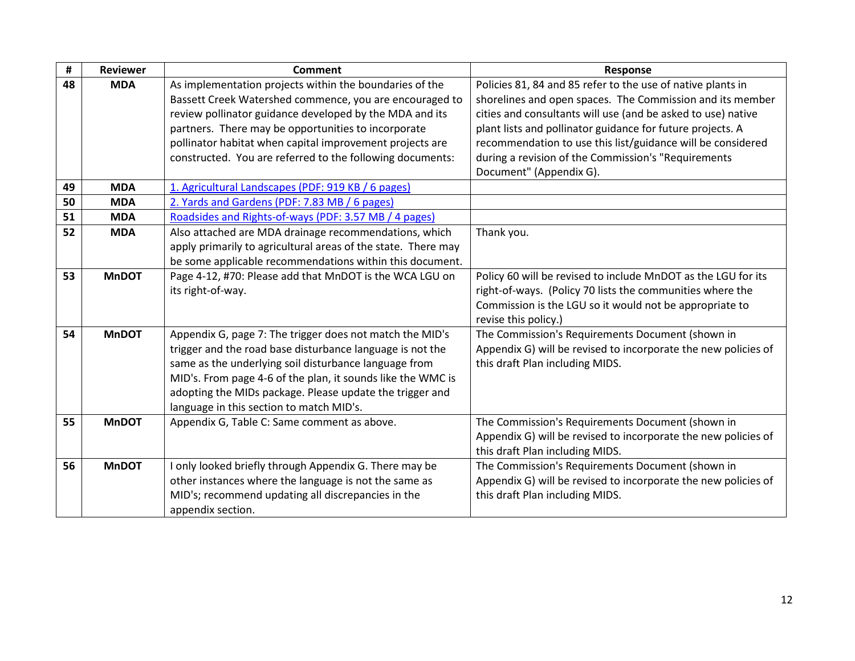| #  | <b>Reviewer</b> | <b>Comment</b>                                                | Response                                                       |
|----|-----------------|---------------------------------------------------------------|----------------------------------------------------------------|
| 48 | <b>MDA</b>      | As implementation projects within the boundaries of the       | Policies 81, 84 and 85 refer to the use of native plants in    |
|    |                 | Bassett Creek Watershed commence, you are encouraged to       | shorelines and open spaces. The Commission and its member      |
|    |                 | review pollinator guidance developed by the MDA and its       | cities and consultants will use (and be asked to use) native   |
|    |                 | partners. There may be opportunities to incorporate           | plant lists and pollinator guidance for future projects. A     |
|    |                 | pollinator habitat when capital improvement projects are      | recommendation to use this list/guidance will be considered    |
|    |                 | constructed. You are referred to the following documents:     | during a revision of the Commission's "Requirements            |
|    |                 |                                                               | Document" (Appendix G).                                        |
| 49 | <b>MDA</b>      | 1. Agricultural Landscapes (PDF: 919 KB / 6 pages)            |                                                                |
| 50 | <b>MDA</b>      | 2. Yards and Gardens (PDF: 7.83 MB / 6 pages)                 |                                                                |
| 51 | <b>MDA</b>      | Roadsides and Rights-of-ways (PDF: 3.57 MB / 4 pages)         |                                                                |
| 52 | <b>MDA</b>      | Also attached are MDA drainage recommendations, which         | Thank you.                                                     |
|    |                 | apply primarily to agricultural areas of the state. There may |                                                                |
|    |                 | be some applicable recommendations within this document.      |                                                                |
| 53 | <b>MnDOT</b>    | Page 4-12, #70: Please add that MnDOT is the WCA LGU on       | Policy 60 will be revised to include MnDOT as the LGU for its  |
|    |                 | its right-of-way.                                             | right-of-ways. (Policy 70 lists the communities where the      |
|    |                 |                                                               | Commission is the LGU so it would not be appropriate to        |
|    |                 |                                                               | revise this policy.)                                           |
| 54 | <b>MnDOT</b>    | Appendix G, page 7: The trigger does not match the MID's      | The Commission's Requirements Document (shown in               |
|    |                 | trigger and the road base disturbance language is not the     | Appendix G) will be revised to incorporate the new policies of |
|    |                 | same as the underlying soil disturbance language from         | this draft Plan including MIDS.                                |
|    |                 | MID's. From page 4-6 of the plan, it sounds like the WMC is   |                                                                |
|    |                 | adopting the MIDs package. Please update the trigger and      |                                                                |
|    |                 | language in this section to match MID's.                      |                                                                |
| 55 | <b>MnDOT</b>    | Appendix G, Table C: Same comment as above.                   | The Commission's Requirements Document (shown in               |
|    |                 |                                                               | Appendix G) will be revised to incorporate the new policies of |
|    |                 |                                                               | this draft Plan including MIDS.                                |
| 56 | <b>MnDOT</b>    | I only looked briefly through Appendix G. There may be        | The Commission's Requirements Document (shown in               |
|    |                 | other instances where the language is not the same as         | Appendix G) will be revised to incorporate the new policies of |
|    |                 | MID's; recommend updating all discrepancies in the            | this draft Plan including MIDS.                                |
|    |                 | appendix section.                                             |                                                                |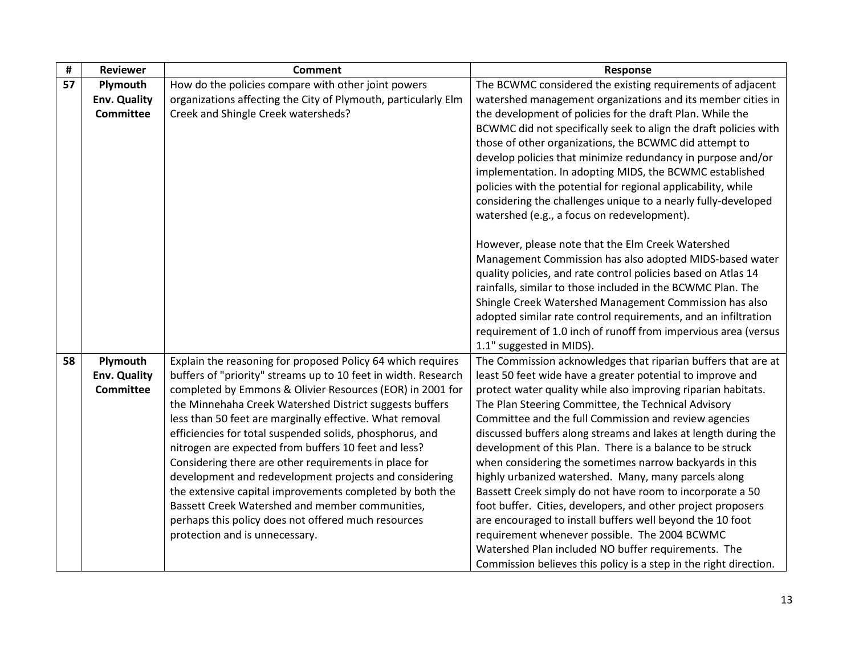| #  | <b>Reviewer</b>                                     | <b>Comment</b>                                                                                                                                                                                                                                                                                                                                                                                                                                                                                                                                                                                                                                                                                                                                                   | Response                                                                                                                                                                                                                                                                                                                                                                                                                                                                                                                                                                                                                                                                                                                                                                                                                                                                                                                                                                                                                                                                                                  |
|----|-----------------------------------------------------|------------------------------------------------------------------------------------------------------------------------------------------------------------------------------------------------------------------------------------------------------------------------------------------------------------------------------------------------------------------------------------------------------------------------------------------------------------------------------------------------------------------------------------------------------------------------------------------------------------------------------------------------------------------------------------------------------------------------------------------------------------------|-----------------------------------------------------------------------------------------------------------------------------------------------------------------------------------------------------------------------------------------------------------------------------------------------------------------------------------------------------------------------------------------------------------------------------------------------------------------------------------------------------------------------------------------------------------------------------------------------------------------------------------------------------------------------------------------------------------------------------------------------------------------------------------------------------------------------------------------------------------------------------------------------------------------------------------------------------------------------------------------------------------------------------------------------------------------------------------------------------------|
| 57 | Plymouth<br><b>Env. Quality</b><br><b>Committee</b> | How do the policies compare with other joint powers<br>organizations affecting the City of Plymouth, particularly Elm<br>Creek and Shingle Creek watersheds?                                                                                                                                                                                                                                                                                                                                                                                                                                                                                                                                                                                                     | The BCWMC considered the existing requirements of adjacent<br>watershed management organizations and its member cities in<br>the development of policies for the draft Plan. While the<br>BCWMC did not specifically seek to align the draft policies with<br>those of other organizations, the BCWMC did attempt to<br>develop policies that minimize redundancy in purpose and/or<br>implementation. In adopting MIDS, the BCWMC established<br>policies with the potential for regional applicability, while<br>considering the challenges unique to a nearly fully-developed<br>watershed (e.g., a focus on redevelopment).<br>However, please note that the Elm Creek Watershed<br>Management Commission has also adopted MIDS-based water<br>quality policies, and rate control policies based on Atlas 14<br>rainfalls, similar to those included in the BCWMC Plan. The<br>Shingle Creek Watershed Management Commission has also<br>adopted similar rate control requirements, and an infiltration<br>requirement of 1.0 inch of runoff from impervious area (versus<br>1.1" suggested in MIDS). |
| 58 | Plymouth<br><b>Env. Quality</b><br><b>Committee</b> | Explain the reasoning for proposed Policy 64 which requires<br>buffers of "priority" streams up to 10 feet in width. Research<br>completed by Emmons & Olivier Resources (EOR) in 2001 for<br>the Minnehaha Creek Watershed District suggests buffers<br>less than 50 feet are marginally effective. What removal<br>efficiencies for total suspended solids, phosphorus, and<br>nitrogen are expected from buffers 10 feet and less?<br>Considering there are other requirements in place for<br>development and redevelopment projects and considering<br>the extensive capital improvements completed by both the<br>Bassett Creek Watershed and member communities,<br>perhaps this policy does not offered much resources<br>protection and is unnecessary. | The Commission acknowledges that riparian buffers that are at<br>least 50 feet wide have a greater potential to improve and<br>protect water quality while also improving riparian habitats.<br>The Plan Steering Committee, the Technical Advisory<br>Committee and the full Commission and review agencies<br>discussed buffers along streams and lakes at length during the<br>development of this Plan. There is a balance to be struck<br>when considering the sometimes narrow backyards in this<br>highly urbanized watershed. Many, many parcels along<br>Bassett Creek simply do not have room to incorporate a 50<br>foot buffer. Cities, developers, and other project proposers<br>are encouraged to install buffers well beyond the 10 foot<br>requirement whenever possible. The 2004 BCWMC<br>Watershed Plan included NO buffer requirements. The<br>Commission believes this policy is a step in the right direction.                                                                                                                                                                     |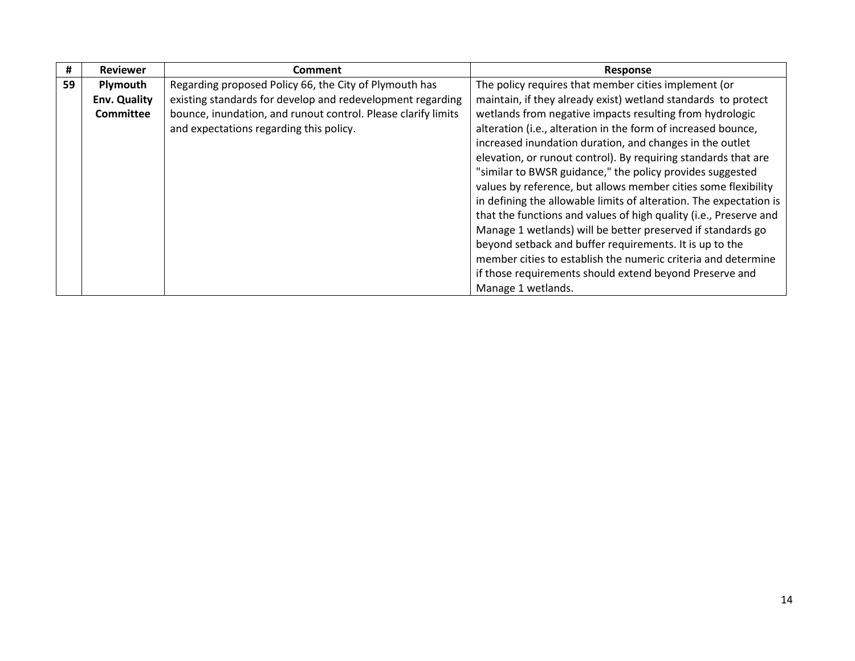| #  | <b>Reviewer</b>     | <b>Comment</b>                                                | Response                                                           |
|----|---------------------|---------------------------------------------------------------|--------------------------------------------------------------------|
| 59 | Plymouth            | Regarding proposed Policy 66, the City of Plymouth has        | The policy requires that member cities implement (or               |
|    | <b>Env. Quality</b> | existing standards for develop and redevelopment regarding    | maintain, if they already exist) wetland standards to protect      |
|    | <b>Committee</b>    | bounce, inundation, and runout control. Please clarify limits | wetlands from negative impacts resulting from hydrologic           |
|    |                     | and expectations regarding this policy.                       | alteration (i.e., alteration in the form of increased bounce,      |
|    |                     |                                                               | increased inundation duration, and changes in the outlet           |
|    |                     |                                                               | elevation, or runout control). By requiring standards that are     |
|    |                     |                                                               | "similar to BWSR guidance," the policy provides suggested          |
|    |                     |                                                               | values by reference, but allows member cities some flexibility     |
|    |                     |                                                               | in defining the allowable limits of alteration. The expectation is |
|    |                     |                                                               | that the functions and values of high quality (i.e., Preserve and  |
|    |                     |                                                               | Manage 1 wetlands) will be better preserved if standards go        |
|    |                     |                                                               | beyond setback and buffer requirements. It is up to the            |
|    |                     |                                                               | member cities to establish the numeric criteria and determine      |
|    |                     |                                                               | if those requirements should extend beyond Preserve and            |
|    |                     |                                                               | Manage 1 wetlands.                                                 |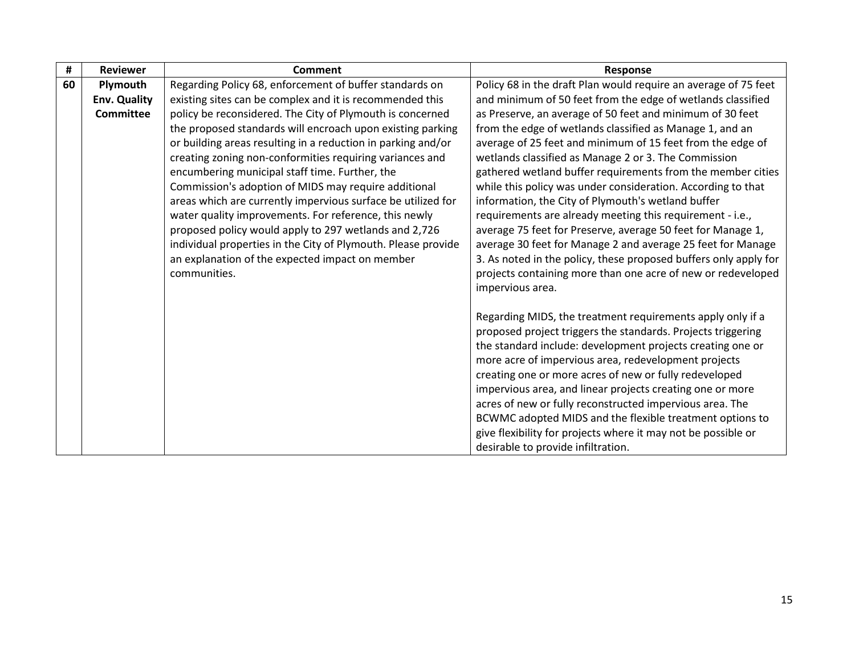| #  | <b>Reviewer</b>     | <b>Comment</b>                                                  | <b>Response</b>                                                                  |
|----|---------------------|-----------------------------------------------------------------|----------------------------------------------------------------------------------|
| 60 | Plymouth            | Regarding Policy 68, enforcement of buffer standards on         | Policy 68 in the draft Plan would require an average of 75 feet                  |
|    | <b>Env. Quality</b> | existing sites can be complex and it is recommended this        | and minimum of 50 feet from the edge of wetlands classified                      |
|    | <b>Committee</b>    | policy be reconsidered. The City of Plymouth is concerned       | as Preserve, an average of 50 feet and minimum of 30 feet                        |
|    |                     | the proposed standards will encroach upon existing parking      | from the edge of wetlands classified as Manage 1, and an                         |
|    |                     | or building areas resulting in a reduction in parking and/or    | average of 25 feet and minimum of 15 feet from the edge of                       |
|    |                     | creating zoning non-conformities requiring variances and        | wetlands classified as Manage 2 or 3. The Commission                             |
|    |                     | encumbering municipal staff time. Further, the                  | gathered wetland buffer requirements from the member cities                      |
|    |                     | Commission's adoption of MIDS may require additional            | while this policy was under consideration. According to that                     |
|    |                     | areas which are currently impervious surface be utilized for    | information, the City of Plymouth's wetland buffer                               |
|    |                     | water quality improvements. For reference, this newly           | requirements are already meeting this requirement - i.e.,                        |
|    |                     | proposed policy would apply to 297 wetlands and 2,726           | average 75 feet for Preserve, average 50 feet for Manage 1,                      |
|    |                     | individual properties in the City of Plymouth. Please provide   | average 30 feet for Manage 2 and average 25 feet for Manage                      |
|    |                     | an explanation of the expected impact on member<br>communities. | 3. As noted in the policy, these proposed buffers only apply for                 |
|    |                     |                                                                 | projects containing more than one acre of new or redeveloped<br>impervious area. |
|    |                     |                                                                 |                                                                                  |
|    |                     |                                                                 | Regarding MIDS, the treatment requirements apply only if a                       |
|    |                     |                                                                 | proposed project triggers the standards. Projects triggering                     |
|    |                     |                                                                 | the standard include: development projects creating one or                       |
|    |                     |                                                                 | more acre of impervious area, redevelopment projects                             |
|    |                     |                                                                 | creating one or more acres of new or fully redeveloped                           |
|    |                     |                                                                 | impervious area, and linear projects creating one or more                        |
|    |                     |                                                                 | acres of new or fully reconstructed impervious area. The                         |
|    |                     |                                                                 | BCWMC adopted MIDS and the flexible treatment options to                         |
|    |                     |                                                                 | give flexibility for projects where it may not be possible or                    |
|    |                     |                                                                 | desirable to provide infiltration.                                               |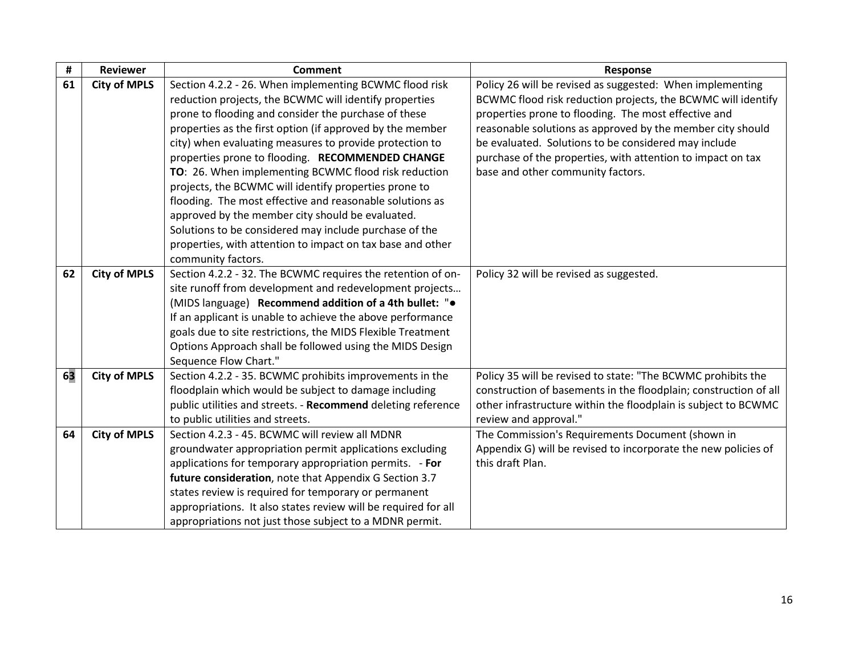| #  | <b>Reviewer</b>     | Comment                                                         | <b>Response</b>                                                  |  |
|----|---------------------|-----------------------------------------------------------------|------------------------------------------------------------------|--|
| 61 | <b>City of MPLS</b> | Section 4.2.2 - 26. When implementing BCWMC flood risk          | Policy 26 will be revised as suggested: When implementing        |  |
|    |                     | reduction projects, the BCWMC will identify properties          | BCWMC flood risk reduction projects, the BCWMC will identify     |  |
|    |                     | prone to flooding and consider the purchase of these            | properties prone to flooding. The most effective and             |  |
|    |                     | properties as the first option (if approved by the member       | reasonable solutions as approved by the member city should       |  |
|    |                     | city) when evaluating measures to provide protection to         | be evaluated. Solutions to be considered may include             |  |
|    |                     | properties prone to flooding. RECOMMENDED CHANGE                | purchase of the properties, with attention to impact on tax      |  |
|    |                     | TO: 26. When implementing BCWMC flood risk reduction            | base and other community factors.                                |  |
|    |                     | projects, the BCWMC will identify properties prone to           |                                                                  |  |
|    |                     | flooding. The most effective and reasonable solutions as        |                                                                  |  |
|    |                     | approved by the member city should be evaluated.                |                                                                  |  |
|    |                     | Solutions to be considered may include purchase of the          |                                                                  |  |
|    |                     | properties, with attention to impact on tax base and other      |                                                                  |  |
|    |                     | community factors.                                              |                                                                  |  |
| 62 | <b>City of MPLS</b> | Section 4.2.2 - 32. The BCWMC requires the retention of on-     | Policy 32 will be revised as suggested.                          |  |
|    |                     | site runoff from development and redevelopment projects         |                                                                  |  |
|    |                     | (MIDS language) Recommend addition of a 4th bullet: " $\bullet$ |                                                                  |  |
|    |                     | If an applicant is unable to achieve the above performance      |                                                                  |  |
|    |                     | goals due to site restrictions, the MIDS Flexible Treatment     |                                                                  |  |
|    |                     | Options Approach shall be followed using the MIDS Design        |                                                                  |  |
|    |                     | Sequence Flow Chart."                                           |                                                                  |  |
| 63 | <b>City of MPLS</b> | Section 4.2.2 - 35. BCWMC prohibits improvements in the         | Policy 35 will be revised to state: "The BCWMC prohibits the     |  |
|    |                     | floodplain which would be subject to damage including           | construction of basements in the floodplain; construction of all |  |
|    |                     | public utilities and streets. - Recommend deleting reference    | other infrastructure within the floodplain is subject to BCWMC   |  |
|    |                     | to public utilities and streets.                                | review and approval."                                            |  |
| 64 | <b>City of MPLS</b> | Section 4.2.3 - 45. BCWMC will review all MDNR                  | The Commission's Requirements Document (shown in                 |  |
|    |                     | groundwater appropriation permit applications excluding         | Appendix G) will be revised to incorporate the new policies of   |  |
|    |                     | applications for temporary appropriation permits. - For         | this draft Plan.                                                 |  |
|    |                     | future consideration, note that Appendix G Section 3.7          |                                                                  |  |
|    |                     | states review is required for temporary or permanent            |                                                                  |  |
|    |                     | appropriations. It also states review will be required for all  |                                                                  |  |
|    |                     | appropriations not just those subject to a MDNR permit.         |                                                                  |  |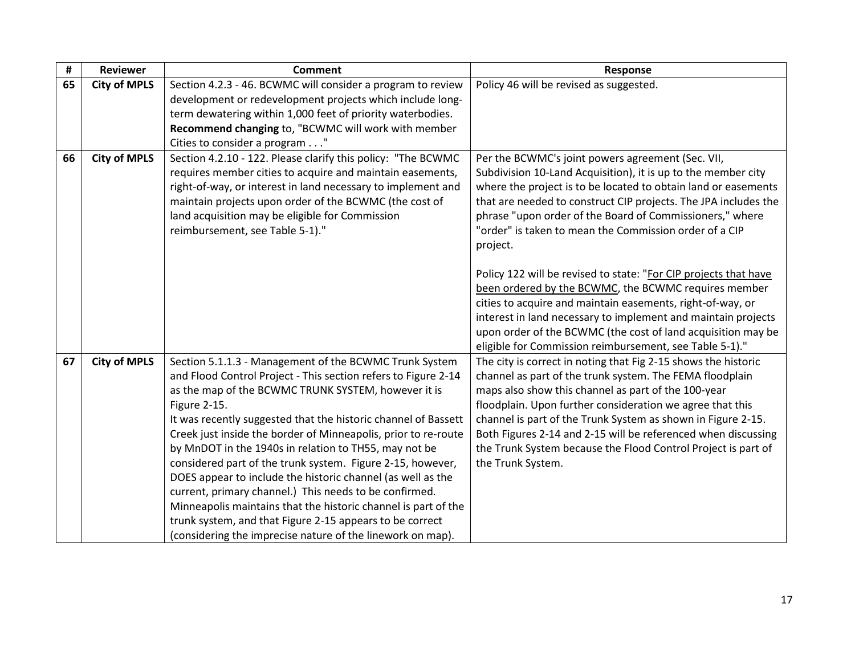| #  | <b>Reviewer</b>     | <b>Comment</b>                                                 | Response                                                         |
|----|---------------------|----------------------------------------------------------------|------------------------------------------------------------------|
| 65 | <b>City of MPLS</b> | Section 4.2.3 - 46. BCWMC will consider a program to review    | Policy 46 will be revised as suggested.                          |
|    |                     | development or redevelopment projects which include long-      |                                                                  |
|    |                     | term dewatering within 1,000 feet of priority waterbodies.     |                                                                  |
|    |                     | Recommend changing to, "BCWMC will work with member            |                                                                  |
|    |                     | Cities to consider a program "                                 |                                                                  |
| 66 | <b>City of MPLS</b> | Section 4.2.10 - 122. Please clarify this policy: "The BCWMC   | Per the BCWMC's joint powers agreement (Sec. VII,                |
|    |                     | requires member cities to acquire and maintain easements,      | Subdivision 10-Land Acquisition), it is up to the member city    |
|    |                     | right-of-way, or interest in land necessary to implement and   | where the project is to be located to obtain land or easements   |
|    |                     | maintain projects upon order of the BCWMC (the cost of         | that are needed to construct CIP projects. The JPA includes the  |
|    |                     | land acquisition may be eligible for Commission                | phrase "upon order of the Board of Commissioners," where         |
|    |                     | reimbursement, see Table 5-1)."                                | "order" is taken to mean the Commission order of a CIP           |
|    |                     |                                                                | project.                                                         |
|    |                     |                                                                |                                                                  |
|    |                     |                                                                | Policy 122 will be revised to state: "For CIP projects that have |
|    |                     |                                                                | been ordered by the BCWMC, the BCWMC requires member             |
|    |                     |                                                                | cities to acquire and maintain easements, right-of-way, or       |
|    |                     |                                                                | interest in land necessary to implement and maintain projects    |
|    |                     |                                                                | upon order of the BCWMC (the cost of land acquisition may be     |
|    |                     |                                                                | eligible for Commission reimbursement, see Table 5-1)."          |
| 67 | <b>City of MPLS</b> | Section 5.1.1.3 - Management of the BCWMC Trunk System         | The city is correct in noting that Fig 2-15 shows the historic   |
|    |                     | and Flood Control Project - This section refers to Figure 2-14 | channel as part of the trunk system. The FEMA floodplain         |
|    |                     | as the map of the BCWMC TRUNK SYSTEM, however it is            | maps also show this channel as part of the 100-year              |
|    |                     | Figure 2-15.                                                   | floodplain. Upon further consideration we agree that this        |
|    |                     | It was recently suggested that the historic channel of Bassett | channel is part of the Trunk System as shown in Figure 2-15.     |
|    |                     | Creek just inside the border of Minneapolis, prior to re-route | Both Figures 2-14 and 2-15 will be referenced when discussing    |
|    |                     | by MnDOT in the 1940s in relation to TH55, may not be          | the Trunk System because the Flood Control Project is part of    |
|    |                     | considered part of the trunk system. Figure 2-15, however,     | the Trunk System.                                                |
|    |                     | DOES appear to include the historic channel (as well as the    |                                                                  |
|    |                     | current, primary channel.) This needs to be confirmed.         |                                                                  |
|    |                     | Minneapolis maintains that the historic channel is part of the |                                                                  |
|    |                     | trunk system, and that Figure 2-15 appears to be correct       |                                                                  |
|    |                     | (considering the imprecise nature of the linework on map).     |                                                                  |